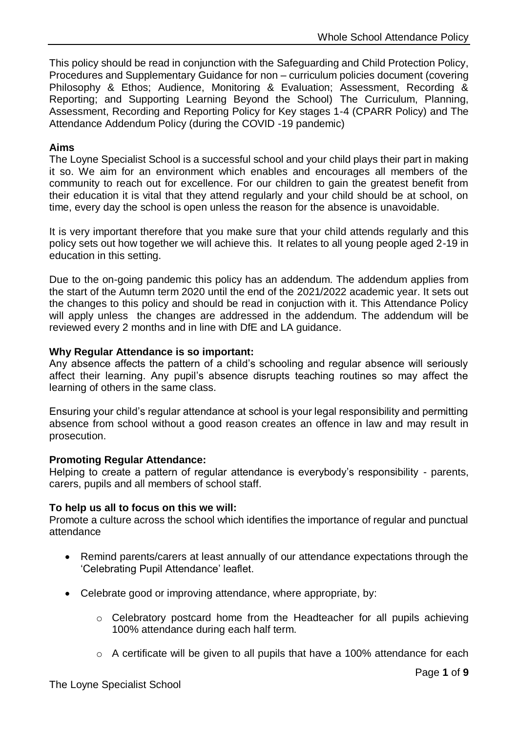This policy should be read in conjunction with the Safeguarding and Child Protection Policy, Procedures and Supplementary Guidance for non – curriculum policies document (covering Philosophy & Ethos; Audience, Monitoring & Evaluation; Assessment, Recording & Reporting; and Supporting Learning Beyond the School) The Curriculum, Planning, Assessment, Recording and Reporting Policy for Key stages 1-4 (CPARR Policy) and The Attendance Addendum Policy (during the COVID -19 pandemic)

## **Aims**

The Loyne Specialist School is a successful school and your child plays their part in making it so. We aim for an environment which enables and encourages all members of the community to reach out for excellence. For our children to gain the greatest benefit from their education it is vital that they attend regularly and your child should be at school, on time, every day the school is open unless the reason for the absence is unavoidable.

It is very important therefore that you make sure that your child attends regularly and this policy sets out how together we will achieve this. It relates to all young people aged 2-19 in education in this setting.

Due to the on-going pandemic this policy has an addendum. The addendum applies from the start of the Autumn term 2020 until the end of the 2021/2022 academic year. It sets out the changes to this policy and should be read in conjuction with it. This Attendance Policy will apply unless the changes are addressed in the addendum. The addendum will be reviewed every 2 months and in line with DfE and LA guidance.

## **Why Regular Attendance is so important:**

Any absence affects the pattern of a child's schooling and regular absence will seriously affect their learning. Any pupil's absence disrupts teaching routines so may affect the learning of others in the same class.

Ensuring your child's regular attendance at school is your legal responsibility and permitting absence from school without a good reason creates an offence in law and may result in prosecution.

## **Promoting Regular Attendance:**

Helping to create a pattern of regular attendance is everybody's responsibility - parents, carers, pupils and all members of school staff.

## **To help us all to focus on this we will:**

Promote a culture across the school which identifies the importance of regular and punctual attendance

- Remind parents/carers at least annually of our attendance expectations through the 'Celebrating Pupil Attendance' leaflet.
- Celebrate good or improving attendance, where appropriate, by:
	- o Celebratory postcard home from the Headteacher for all pupils achieving 100% attendance during each half term.
	- o A certificate will be given to all pupils that have a 100% attendance for each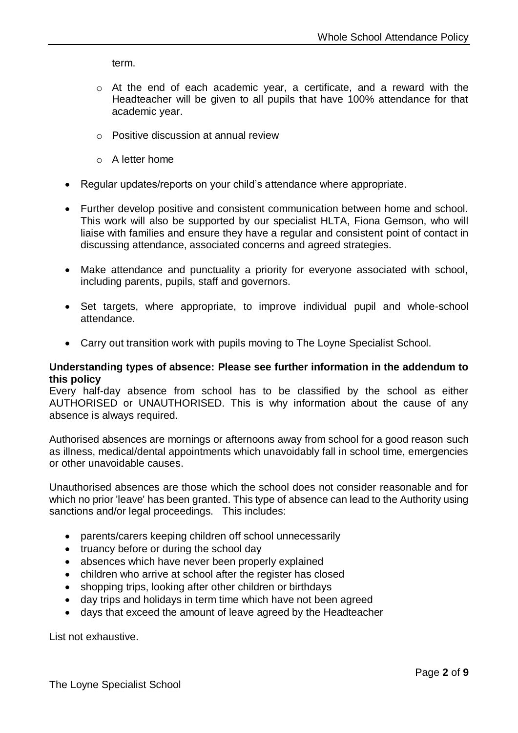term.

- o At the end of each academic year, a certificate, and a reward with the Headteacher will be given to all pupils that have 100% attendance for that academic year.
- o Positive discussion at annual review
- $\circ$  A letter home
- Regular updates/reports on your child's attendance where appropriate.
- Further develop positive and consistent communication between home and school. This work will also be supported by our specialist HLTA, Fiona Gemson, who will liaise with families and ensure they have a regular and consistent point of contact in discussing attendance, associated concerns and agreed strategies.
- Make attendance and punctuality a priority for everyone associated with school, including parents, pupils, staff and governors.
- Set targets, where appropriate, to improve individual pupil and whole-school attendance.
- Carry out transition work with pupils moving to The Loyne Specialist School.

#### **Understanding types of absence: Please see further information in the addendum to this policy**

Every half-day absence from school has to be classified by the school as either AUTHORISED or UNAUTHORISED. This is why information about the cause of any absence is always required.

Authorised absences are mornings or afternoons away from school for a good reason such as illness, medical/dental appointments which unavoidably fall in school time, emergencies or other unavoidable causes.

Unauthorised absences are those which the school does not consider reasonable and for which no prior 'leave' has been granted. This type of absence can lead to the Authority using sanctions and/or legal proceedings. This includes:

- parents/carers keeping children off school unnecessarily
- truancy before or during the school day
- absences which have never been properly explained
- children who arrive at school after the register has closed
- shopping trips, looking after other children or birthdays
- day trips and holidays in term time which have not been agreed
- days that exceed the amount of leave agreed by the Headteacher

List not exhaustive.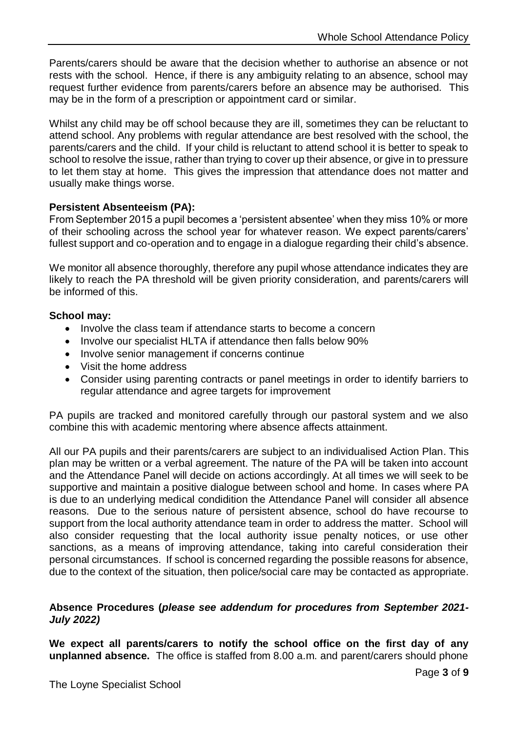Parents/carers should be aware that the decision whether to authorise an absence or not rests with the school. Hence, if there is any ambiguity relating to an absence, school may request further evidence from parents/carers before an absence may be authorised. This may be in the form of a prescription or appointment card or similar.

Whilst any child may be off school because they are ill, sometimes they can be reluctant to attend school. Any problems with regular attendance are best resolved with the school, the parents/carers and the child. If your child is reluctant to attend school it is better to speak to school to resolve the issue, rather than trying to cover up their absence, or give in to pressure to let them stay at home. This gives the impression that attendance does not matter and usually make things worse.

## **Persistent Absenteeism (PA):**

From September 2015 a pupil becomes a 'persistent absentee' when they miss 10% or more of their schooling across the school year for whatever reason. We expect parents/carers' fullest support and co-operation and to engage in a dialogue regarding their child's absence.

We monitor all absence thoroughly, therefore any pupil whose attendance indicates they are likely to reach the PA threshold will be given priority consideration, and parents/carers will be informed of this.

## **School may:**

- Involve the class team if attendance starts to become a concern
- Involve our specialist HLTA if attendance then falls below 90%
- Involve senior management if concerns continue
- Visit the home address
- Consider using parenting contracts or panel meetings in order to identify barriers to regular attendance and agree targets for improvement

PA pupils are tracked and monitored carefully through our pastoral system and we also combine this with academic mentoring where absence affects attainment.

All our PA pupils and their parents/carers are subject to an individualised Action Plan. This plan may be written or a verbal agreement. The nature of the PA will be taken into account and the Attendance Panel will decide on actions accordingly. At all times we will seek to be supportive and maintain a positive dialogue between school and home. In cases where PA is due to an underlying medical condidition the Attendance Panel will consider all absence reasons. Due to the serious nature of persistent absence, school do have recourse to support from the local authority attendance team in order to address the matter. School will also consider requesting that the local authority issue penalty notices, or use other sanctions, as a means of improving attendance, taking into careful consideration their personal circumstances. If school is concerned regarding the possible reasons for absence, due to the context of the situation, then police/social care may be contacted as appropriate.

## **Absence Procedures (***please see addendum for procedures from September 2021- July 2022)*

**We expect all parents/carers to notify the school office on the first day of any unplanned absence.** The office is staffed from 8.00 a.m. and parent/carers should phone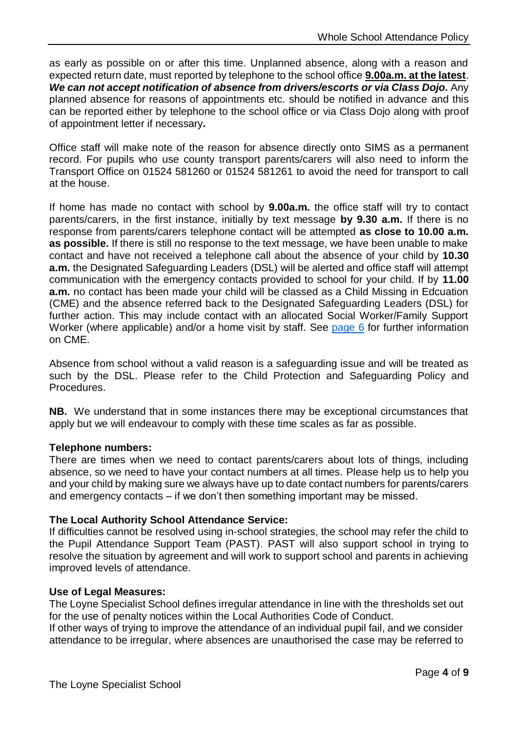as early as possible on or after this time. Unplanned absence, along with a reason and expected return date, must reported by telephone to the school office **9.00a.m. at the latest**. *We can not accept notification of absence from drivers/escorts or via Class Dojo.* Any planned absence for reasons of appointments etc. should be notified in advance and this can be reported either by telephone to the school office or via Class Dojo along with proof of appointment letter if necessary*.*

Office staff will make note of the reason for absence directly onto SIMS as a permanent record. For pupils who use county transport parents/carers will also need to inform the Transport Office on 01524 581260 or 01524 581261 to avoid the need for transport to call at the house.

If home has made no contact with school by **9.00a.m.** the office staff will try to contact parents/carers, in the first instance, initially by text message **by 9.30 a.m.** If there is no response from parents/carers telephone contact will be attempted **as close to 10.00 a.m. as possible.** If there is still no response to the text message, we have been unable to make contact and have not received a telephone call about the absence of your child by **10.30 a.m.** the Designated Safeguarding Leaders (DSL) will be alerted and office staff will attempt communication with the emergency contacts provided to school for your child. If by **11.00 a.m.** no contact has been made your child will be classed as a Child Missing in Edcuation (CME) and the absence referred back to the Designated Safeguarding Leaders (DSL) for further action. This may include contact with an allocated Social Worker/Family Support Worker (where applicable) and/or a home visit by staff. See [page 6](#page-6-0) for further information on CME.

Absence from school without a valid reason is a safeguarding issue and will be treated as such by the DSL. Please refer to the Child Protection and Safeguarding Policy and **Procedures** 

**NB.** We understand that in some instances there may be exceptional circumstances that apply but we will endeavour to comply with these time scales as far as possible.

## **Telephone numbers:**

There are times when we need to contact parents/carers about lots of things, including absence, so we need to have your contact numbers at all times. Please help us to help you and your child by making sure we always have up to date contact numbers for parents/carers and emergency contacts – if we don't then something important may be missed.

# **The Local Authority School Attendance Service:**

If difficulties cannot be resolved using in-school strategies, the school may refer the child to the Pupil Attendance Support Team (PAST). PAST will also support school in trying to resolve the situation by agreement and will work to support school and parents in achieving improved levels of attendance.

## **Use of Legal Measures:**

The Loyne Specialist School defines irregular attendance in line with the thresholds set out for the use of penalty notices within the Local Authorities Code of Conduct.

If other ways of trying to improve the attendance of an individual pupil fail, and we consider attendance to be irregular, where absences are unauthorised the case may be referred to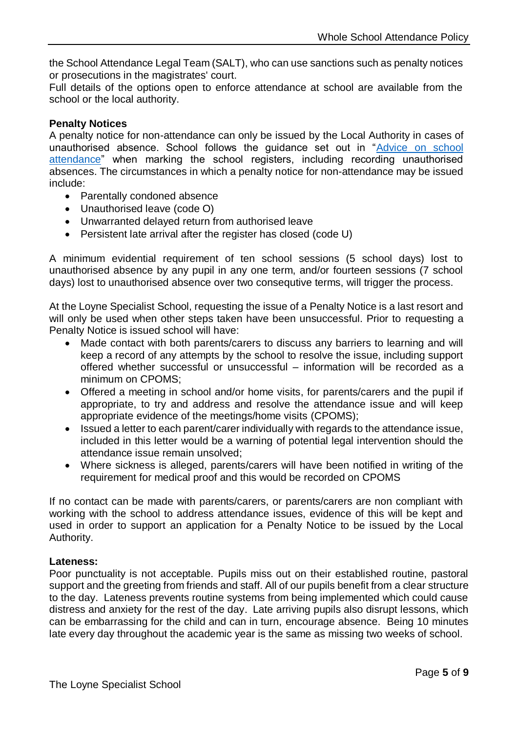the School Attendance Legal Team (SALT), who can use sanctions such as penalty notices or prosecutions in the magistrates' court.

Full details of the options open to enforce attendance at school are available from the school or the local authority.

## **Penalty Notices**

A penalty notice for non-attendance can only be issued by the Local Authority in cases of unauthorised absence. School follows the guidance set out in ["Advice on school](https://assets.publishing.service.gov.uk/government/uploads/system/uploads/attachment_data/file/907535/School_attendance_guidance_for_2020_to_2021_academic_year.pdf)  [attendance"](https://assets.publishing.service.gov.uk/government/uploads/system/uploads/attachment_data/file/907535/School_attendance_guidance_for_2020_to_2021_academic_year.pdf) when marking the school registers, including recording unauthorised absences. The circumstances in which a penalty notice for non-attendance may be issued include:

- Parentally condoned absence
- Unauthorised leave (code O)
- Unwarranted delayed return from authorised leave
- Persistent late arrival after the register has closed (code U)

A minimum evidential requirement of ten school sessions (5 school days) lost to unauthorised absence by any pupil in any one term, and/or fourteen sessions (7 school days) lost to unauthorised absence over two consequtive terms, will trigger the process.

At the Loyne Specialist School, requesting the issue of a Penalty Notice is a last resort and will only be used when other steps taken have been unsuccessful. Prior to requesting a Penalty Notice is issued school will have:

- Made contact with both parents/carers to discuss any barriers to learning and will keep a record of any attempts by the school to resolve the issue, including support offered whether successful or unsuccessful – information will be recorded as a minimum on CPOMS;
- Offered a meeting in school and/or home visits, for parents/carers and the pupil if appropriate, to try and address and resolve the attendance issue and will keep appropriate evidence of the meetings/home visits (CPOMS);
- Issued a letter to each parent/carer individually with regards to the attendance issue, included in this letter would be a warning of potential legal intervention should the attendance issue remain unsolved;
- Where sickness is alleged, parents/carers will have been notified in writing of the requirement for medical proof and this would be recorded on CPOMS

If no contact can be made with parents/carers, or parents/carers are non compliant with working with the school to address attendance issues, evidence of this will be kept and used in order to support an application for a Penalty Notice to be issued by the Local Authority.

## **Lateness:**

Poor punctuality is not acceptable. Pupils miss out on their established routine, pastoral support and the greeting from friends and staff. All of our pupils benefit from a clear structure to the day. Lateness prevents routine systems from being implemented which could cause distress and anxiety for the rest of the day. Late arriving pupils also disrupt lessons, which can be embarrassing for the child and can in turn, encourage absence. Being 10 minutes late every day throughout the academic year is the same as missing two weeks of school.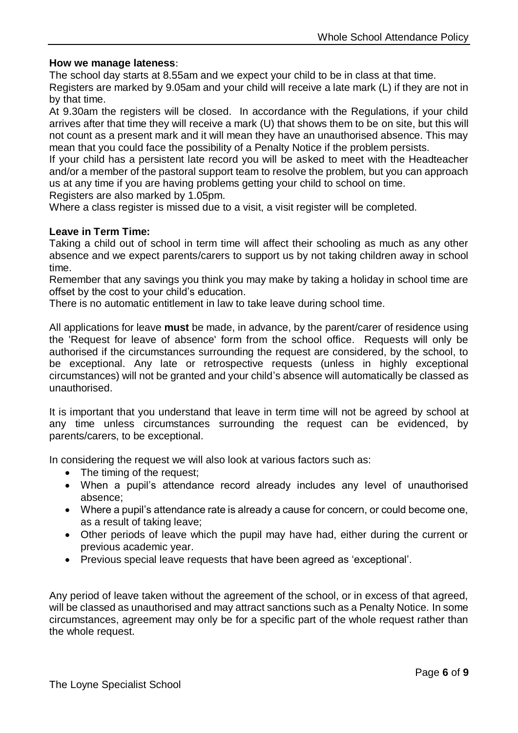## **How we manage lateness**:

The school day starts at 8.55am and we expect your child to be in class at that time.

Registers are marked by 9.05am and your child will receive a late mark (L) if they are not in by that time.

At 9.30am the registers will be closed. In accordance with the Regulations, if your child arrives after that time they will receive a mark (U) that shows them to be on site, but this will not count as a present mark and it will mean they have an unauthorised absence. This may mean that you could face the possibility of a Penalty Notice if the problem persists.

If your child has a persistent late record you will be asked to meet with the Headteacher and/or a member of the pastoral support team to resolve the problem, but you can approach us at any time if you are having problems getting your child to school on time.

Registers are also marked by 1.05pm.

Where a class register is missed due to a visit, a visit register will be completed.

#### **Leave in Term Time:**

Taking a child out of school in term time will affect their schooling as much as any other absence and we expect parents/carers to support us by not taking children away in school time.

Remember that any savings you think you may make by taking a holiday in school time are offset by the cost to your child's education.

There is no automatic entitlement in law to take leave during school time.

All applications for leave **must** be made, in advance, by the parent/carer of residence using the 'Request for leave of absence' form from the school office. Requests will only be authorised if the circumstances surrounding the request are considered, by the school, to be exceptional. Any late or retrospective requests (unless in highly exceptional circumstances) will not be granted and your child's absence will automatically be classed as unauthorised.

It is important that you understand that leave in term time will not be agreed by school at any time unless circumstances surrounding the request can be evidenced, by parents/carers, to be exceptional.

In considering the request we will also look at various factors such as:

- The timing of the request:
- When a pupil's attendance record already includes any level of unauthorised absence;
- Where a pupil's attendance rate is already a cause for concern, or could become one, as a result of taking leave;
- Other periods of leave which the pupil may have had, either during the current or previous academic year.
- Previous special leave requests that have been agreed as 'exceptional'.

Any period of leave taken without the agreement of the school, or in excess of that agreed, will be classed as unauthorised and may attract sanctions such as a Penalty Notice. In some circumstances, agreement may only be for a specific part of the whole request rather than the whole request.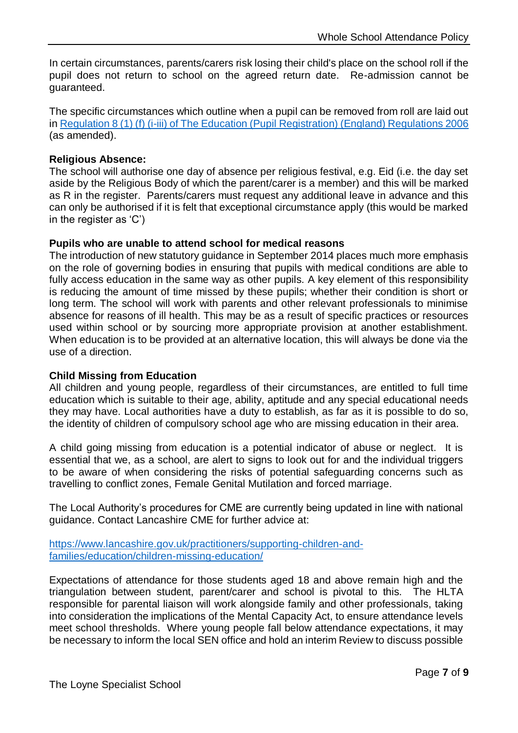In certain circumstances, parents/carers risk losing their child's place on the school roll if the pupil does not return to school on the agreed return date. Re-admission cannot be guaranteed.

The specific circumstances which outline when a pupil can be removed from roll are laid out i[n Regulation 8 \(1\) \(f\) \(i-iii\) of The Education \(Pupil Registration\) \(England\) Regulations 2006](https://www.legislation.gov.uk/uksi/2006/1751/regulation/8/made) (as amended).

## **Religious Absence:**

The school will authorise one day of absence per religious festival, e.g. Eid (i.e. the day set aside by the Religious Body of which the parent/carer is a member) and this will be marked as R in the register. Parents/carers must request any additional leave in advance and this can only be authorised if it is felt that exceptional circumstance apply (this would be marked in the register as 'C')

## **Pupils who are unable to attend school for medical reasons**

The introduction of new statutory guidance in September 2014 places much more emphasis on the role of governing bodies in ensuring that pupils with medical conditions are able to fully access education in the same way as other pupils. A key element of this responsibility is reducing the amount of time missed by these pupils; whether their condition is short or long term. The school will work with parents and other relevant professionals to minimise absence for reasons of ill health. This may be as a result of specific practices or resources used within school or by sourcing more appropriate provision at another establishment. When education is to be provided at an alternative location, this will always be done via the use of a direction.

## <span id="page-6-0"></span>**Child Missing from Education**

All children and young people, regardless of their circumstances, are entitled to full time education which is suitable to their age, ability, aptitude and any special educational needs they may have. Local authorities have a duty to establish, as far as it is possible to do so, the identity of children of compulsory school age who are missing education in their area.

A child going missing from education is a potential indicator of abuse or neglect. It is essential that we, as a school, are alert to signs to look out for and the individual triggers to be aware of when considering the risks of potential safeguarding concerns such as travelling to conflict zones, Female Genital Mutilation and forced marriage.

The Local Authority's procedures for CME are currently being updated in line with national guidance. Contact Lancashire CME for further advice at:

[https://www.lancashire.gov.uk/practitioners/supporting-children-and](https://www.lancashire.gov.uk/practitioners/supporting-children-and-families/education/children-missing-education/)[families/education/children-missing-education/](https://www.lancashire.gov.uk/practitioners/supporting-children-and-families/education/children-missing-education/)

Expectations of attendance for those students aged 18 and above remain high and the triangulation between student, parent/carer and school is pivotal to this. The HLTA responsible for parental liaison will work alongside family and other professionals, taking into consideration the implications of the Mental Capacity Act, to ensure attendance levels meet school thresholds. Where young people fall below attendance expectations, it may be necessary to inform the local SEN office and hold an interim Review to discuss possible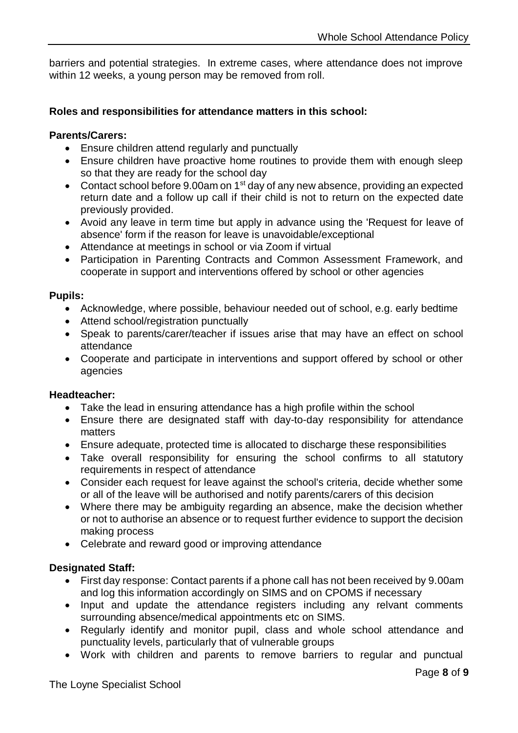barriers and potential strategies. In extreme cases, where attendance does not improve within 12 weeks, a young person may be removed from roll.

## **Roles and responsibilities for attendance matters in this school:**

## **Parents/Carers:**

- Ensure children attend regularly and punctually
- Ensure children have proactive home routines to provide them with enough sleep so that they are ready for the school day
- Contact school before 9.00am on  $1<sup>st</sup>$  day of any new absence, providing an expected return date and a follow up call if their child is not to return on the expected date previously provided.
- Avoid any leave in term time but apply in advance using the 'Request for leave of absence' form if the reason for leave is unavoidable/exceptional
- Attendance at meetings in school or via Zoom if virtual
- Participation in Parenting Contracts and Common Assessment Framework, and cooperate in support and interventions offered by school or other agencies

#### **Pupils:**

- Acknowledge, where possible, behaviour needed out of school, e.g. early bedtime
- Attend school/registration punctually
- Speak to parents/carer/teacher if issues arise that may have an effect on school attendance
- Cooperate and participate in interventions and support offered by school or other agencies

## **Headteacher:**

- Take the lead in ensuring attendance has a high profile within the school
- Ensure there are designated staff with day-to-day responsibility for attendance matters
- Ensure adequate, protected time is allocated to discharge these responsibilities
- Take overall responsibility for ensuring the school confirms to all statutory requirements in respect of attendance
- Consider each request for leave against the school's criteria, decide whether some or all of the leave will be authorised and notify parents/carers of this decision
- Where there may be ambiguity regarding an absence, make the decision whether or not to authorise an absence or to request further evidence to support the decision making process
- Celebrate and reward good or improving attendance

## **Designated Staff:**

- First day response: Contact parents if a phone call has not been received by 9.00am and log this information accordingly on SIMS and on CPOMS if necessary
- Input and update the attendance registers including any relvant comments surrounding absence/medical appointments etc on SIMS.
- Regularly identify and monitor pupil, class and whole school attendance and punctuality levels, particularly that of vulnerable groups
- Work with children and parents to remove barriers to regular and punctual